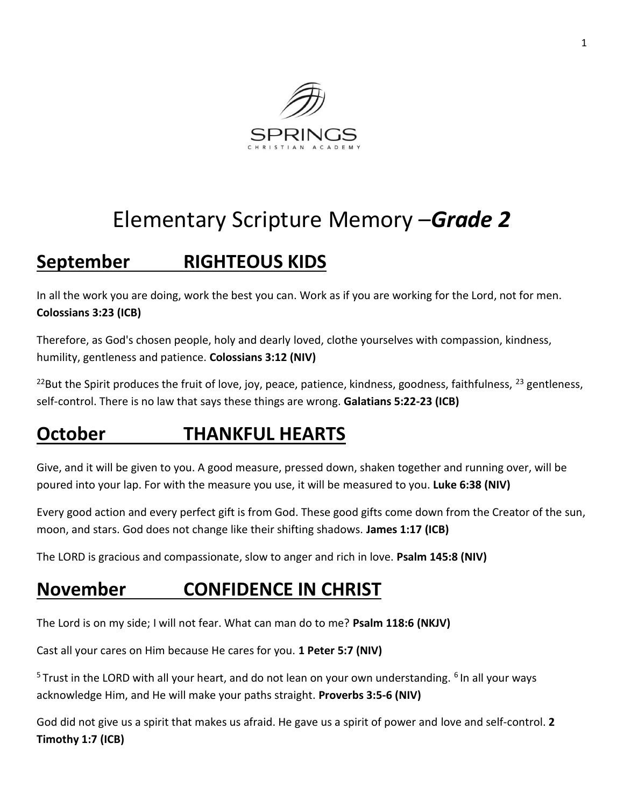

# Elementary Scripture Memory –*Grade 2*

## **September RIGHTEOUS KIDS**

In all the work you are doing, work the best you can. Work as if you are working for the Lord, not for men. **Colossians 3:23 (ICB)**

Therefore, as God's chosen people, holy and dearly loved, clothe yourselves with compassion, kindness, humility, gentleness and patience. **Colossians 3:12 (NIV)**

<sup>22</sup>But the Spirit produces the fruit of love, joy, peace, patience, kindness, goodness, faithfulness,  $^{23}$  gentleness, self-control. There is no law that says these things are wrong. **Galatians 5:22-23 (ICB)**

## **October THANKFUL HEARTS**

Give, and it will be given to you. A good measure, pressed down, shaken together and running over, will be poured into your lap. For with the measure you use, it will be measured to you. **Luke 6:38 (NIV)**

Every good action and every perfect gift is from God. These good gifts come down from the Creator of the sun, moon, and stars. God does not change like their shifting shadows. **James 1:17 (ICB)**

The LORD is gracious and compassionate, slow to anger and rich in love. **Psalm 145:8 (NIV)**

### **November CONFIDENCE IN CHRIST**

The Lord is on my side; I will not fear. What can man do to me? **Psalm 118:6 (NKJV)**

Cast all your cares on Him because He cares for you. **1 Peter 5:7 (NIV)**

<sup>5</sup> Trust in the LORD with all your heart, and do not lean on your own understanding. <sup>6</sup> In all your ways acknowledge Him, and He will make your paths straight. **Proverbs 3:5-6 (NIV)** 

God did not give us a spirit that makes us afraid. He gave us a spirit of power and love and self-control. **2 Timothy 1:7 (ICB)**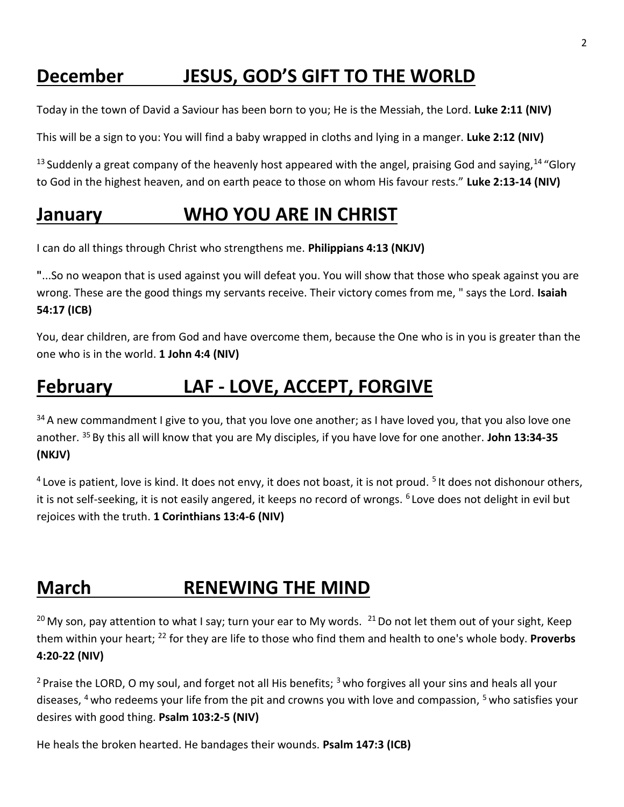## **December JESUS, GOD'S GIFT TO THE WORLD**

Today in the town of David a Saviour has been born to you; He is the Messiah, the Lord. **Luke 2:11 (NIV)**

This will be a sign to you: You will find a baby wrapped in cloths and lying in a manger. **Luke 2:12 (NIV)**

 $13$  Suddenly a great company of the heavenly host appeared with the angel, praising God and saying,  $14$  "Glory to God in the highest heaven, and on earth peace to those on whom His favour rests." **Luke 2:13-14 (NIV)** 

#### **January WHO YOU ARE IN CHRIST**

I can do all things through Christ who strengthens me. **Philippians 4:13 (NKJV)**

**"**...So no weapon that is used against you will defeat you. You will show that those who speak against you are wrong. These are the good things my servants receive. Their victory comes from me, " says the Lord. **Isaiah 54:17 (ICB)** 

You, dear children, are from God and have overcome them, because the One who is in you is greater than the one who is in the world. **1 John 4:4 (NIV)**

#### **February LAF - LOVE, ACCEPT, FORGIVE**

<sup>34</sup> A new commandment I give to you, that you love one another; as I have loved you, that you also love one another. <sup>35</sup>By this all will know that you are My disciples, if you have love for one another. **John 13:34-35 (NKJV)**

 $4$  Love is patient, love is kind. It does not envy, it does not boast, it is not proud. <sup>5</sup> It does not dishonour others, it is not self-seeking, it is not easily angered, it keeps no record of wrongs. <sup>6</sup> Love does not delight in evil but rejoices with the truth. **1 Corinthians 13:4-6 (NIV)**

#### **March RENEWING THE MIND**

<sup>20</sup> My son, pay attention to what I say; turn your ear to My words. <sup>21</sup> Do not let them out of your sight, Keep them within your heart; <sup>22</sup> for they are life to those who find them and health to one's whole body. **Proverbs 4:20-22 (NIV)**

<sup>2</sup> Praise the LORD, O my soul, and forget not all His benefits;  $3$  who forgives all your sins and heals all your diseases, <sup>4</sup> who redeems your life from the pit and crowns you with love and compassion, <sup>5</sup> who satisfies your desires with good thing. **Psalm 103:2-5 (NIV)** 

He heals the broken hearted. He bandages their wounds. **Psalm 147:3 (ICB)**